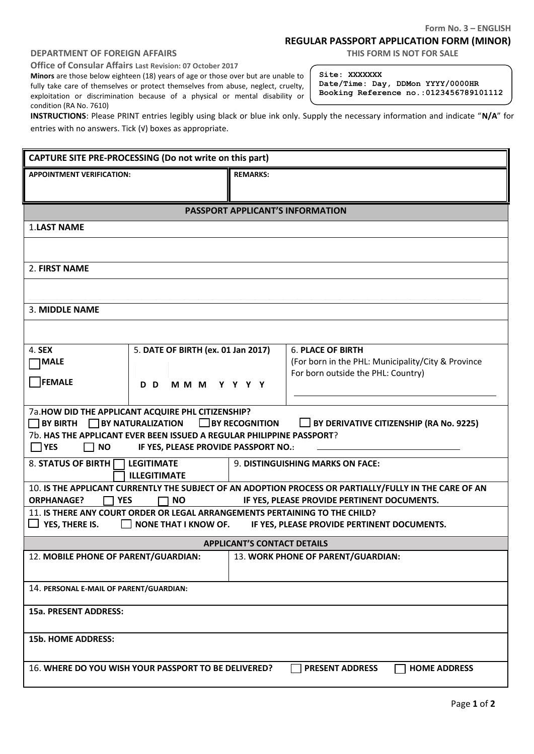## **Form No. 3 – ENGLISH**

## **REGULAR PASSPORT APPLICATION FORM (MINOR)**

## **DEPARTMENT OF FOREIGN AFFAIRS THIS FORM IS NOT FOR SALE**

**Office of Consular Affairs Last Revision: 07 October 2017**

**Minors** are those below eighteen (18) years of age or those over but are unable to fully take care of themselves or protect themselves from abuse, neglect, cruelty, exploitation or discrimination because of a physical or mental disability or condition (RA No. 7610)

**Site: XXXXXXX Date/Time: Day, DDMon YYYY/0000HR Booking Reference no.:0123456789101112**

**INSTRUCTIONS**: Please PRINT entries legibly using black or blue ink only. Supply the necessary information and indicate "**N/A**" for entries with no answers. Tick (√) boxes as appropriate.

| CAPTURE SITE PRE-PROCESSING (Do not write on this part)                                                                                                                  |                                                                                          |  |  |  |  |
|--------------------------------------------------------------------------------------------------------------------------------------------------------------------------|------------------------------------------------------------------------------------------|--|--|--|--|
| <b>APPOINTMENT VERIFICATION:</b>                                                                                                                                         | <b>REMARKS:</b>                                                                          |  |  |  |  |
|                                                                                                                                                                          |                                                                                          |  |  |  |  |
| <b>PASSPORT APPLICANT'S INFORMATION</b>                                                                                                                                  |                                                                                          |  |  |  |  |
| <b>1.LAST NAME</b>                                                                                                                                                       |                                                                                          |  |  |  |  |
|                                                                                                                                                                          |                                                                                          |  |  |  |  |
| 2. FIRST NAME                                                                                                                                                            |                                                                                          |  |  |  |  |
|                                                                                                                                                                          |                                                                                          |  |  |  |  |
| 3. MIDDLE NAME                                                                                                                                                           |                                                                                          |  |  |  |  |
|                                                                                                                                                                          |                                                                                          |  |  |  |  |
| 4. SEX<br>5. DATE OF BIRTH (ex. 01 Jan 2017)                                                                                                                             | <b>6. PLACE OF BIRTH</b>                                                                 |  |  |  |  |
| <b>MALE</b>                                                                                                                                                              | (For born in the PHL: Municipality/City & Province<br>For born outside the PHL: Country) |  |  |  |  |
| FEMALE<br>D D<br>MMM YYYY                                                                                                                                                |                                                                                          |  |  |  |  |
|                                                                                                                                                                          |                                                                                          |  |  |  |  |
| 7a.HOW DID THE APPLICANT ACQUIRE PHL CITIZENSHIP?<br>$\Box$ BY RECOGNITION<br>$\Box$ BY BIRTH $\Box$ BY NATURALIZATION<br>$\Box$ BY DERIVATIVE CITIZENSHIP (RA No. 9225) |                                                                                          |  |  |  |  |
| 7b. HAS THE APPLICANT EVER BEEN ISSUED A REGULAR PHILIPPINE PASSPORT?                                                                                                    |                                                                                          |  |  |  |  |
| $\Box$ YES<br>$\Box$ NO<br>IF YES, PLEASE PROVIDE PASSPORT NO.:                                                                                                          |                                                                                          |  |  |  |  |
| 8. STATUS OF BIRTH<br><b>LEGITIMATE</b><br><b>ILLEGITIMATE</b>                                                                                                           | 9. DISTINGUISHING MARKS ON FACE:                                                         |  |  |  |  |
| 10. IS THE APPLICANT CURRENTLY THE SUBJECT OF AN ADOPTION PROCESS OR PARTIALLY/FULLY IN THE CARE OF AN                                                                   |                                                                                          |  |  |  |  |
| IF YES, PLEASE PROVIDE PERTINENT DOCUMENTS.<br><b>YES</b><br>$\Box$ NO<br><b>ORPHANAGE?</b>                                                                              |                                                                                          |  |  |  |  |
| 11. IS THERE ANY COURT ORDER OR LEGAL ARRANGEMENTS PERTAINING TO THE CHILD?<br>YES, THERE IS.<br>NONE THAT I KNOW OF. IF YES, PLEASE PROVIDE PERTINENT DOCUMENTS.        |                                                                                          |  |  |  |  |
| <b>APPLICANT'S CONTACT DETAILS</b>                                                                                                                                       |                                                                                          |  |  |  |  |
| 12. MOBILE PHONE OF PARENT/GUARDIAN:                                                                                                                                     | 13. WORK PHONE OF PARENT/GUARDIAN:                                                       |  |  |  |  |
|                                                                                                                                                                          |                                                                                          |  |  |  |  |
| 14. PERSONAL E-MAIL OF PARENT/GUARDIAN:                                                                                                                                  |                                                                                          |  |  |  |  |
| 15a. PRESENT ADDRESS:                                                                                                                                                    |                                                                                          |  |  |  |  |
| <b>15b. HOME ADDRESS:</b>                                                                                                                                                |                                                                                          |  |  |  |  |
| 16. WHERE DO YOU WISH YOUR PASSPORT TO BE DELIVERED?<br><b>PRESENT ADDRESS</b><br><b>HOME ADDRESS</b>                                                                    |                                                                                          |  |  |  |  |
|                                                                                                                                                                          |                                                                                          |  |  |  |  |